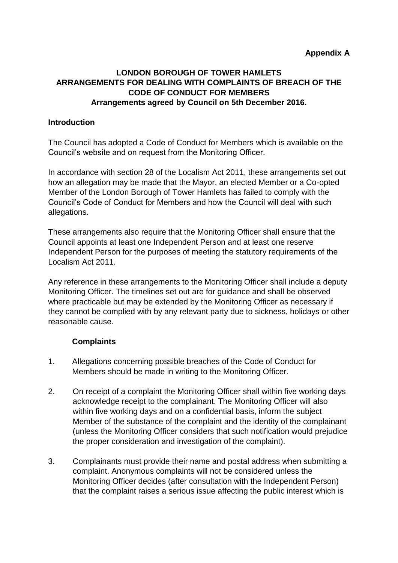# **LONDON BOROUGH OF TOWER HAMLETS ARRANGEMENTS FOR DEALING WITH COMPLAINTS OF BREACH OF THE CODE OF CONDUCT FOR MEMBERS Arrangements agreed by Council on 5th December 2016.**

### **Introduction**

The Council has adopted a Code of Conduct for Members which is available on the Council's website and on request from the Monitoring Officer.

In accordance with section 28 of the Localism Act 2011, these arrangements set out how an allegation may be made that the Mayor, an elected Member or a Co-opted Member of the London Borough of Tower Hamlets has failed to comply with the Council's Code of Conduct for Members and how the Council will deal with such allegations.

These arrangements also require that the Monitoring Officer shall ensure that the Council appoints at least one Independent Person and at least one reserve Independent Person for the purposes of meeting the statutory requirements of the Localism Act 2011.

Any reference in these arrangements to the Monitoring Officer shall include a deputy Monitoring Officer. The timelines set out are for guidance and shall be observed where practicable but may be extended by the Monitoring Officer as necessary if they cannot be complied with by any relevant party due to sickness, holidays or other reasonable cause.

## **Complaints**

- 1. Allegations concerning possible breaches of the Code of Conduct for Members should be made in writing to the Monitoring Officer.
- 2. On receipt of a complaint the Monitoring Officer shall within five working days acknowledge receipt to the complainant. The Monitoring Officer will also within five working days and on a confidential basis, inform the subject Member of the substance of the complaint and the identity of the complainant (unless the Monitoring Officer considers that such notification would prejudice the proper consideration and investigation of the complaint).
- 3. Complainants must provide their name and postal address when submitting a complaint. Anonymous complaints will not be considered unless the Monitoring Officer decides (after consultation with the Independent Person) that the complaint raises a serious issue affecting the public interest which is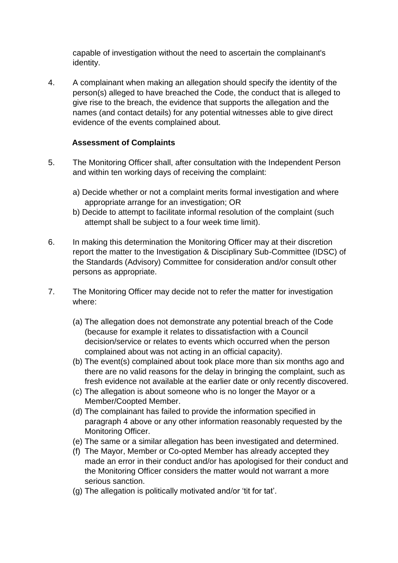capable of investigation without the need to ascertain the complainant's identity.

4. A complainant when making an allegation should specify the identity of the person(s) alleged to have breached the Code, the conduct that is alleged to give rise to the breach, the evidence that supports the allegation and the names (and contact details) for any potential witnesses able to give direct evidence of the events complained about.

### **Assessment of Complaints**

- 5. The Monitoring Officer shall, after consultation with the Independent Person and within ten working days of receiving the complaint:
	- a) Decide whether or not a complaint merits formal investigation and where appropriate arrange for an investigation; OR
	- b) Decide to attempt to facilitate informal resolution of the complaint (such attempt shall be subject to a four week time limit).
- 6. In making this determination the Monitoring Officer may at their discretion report the matter to the Investigation & Disciplinary Sub-Committee (IDSC) of the Standards (Advisory) Committee for consideration and/or consult other persons as appropriate.
- 7. The Monitoring Officer may decide not to refer the matter for investigation where:
	- (a) The allegation does not demonstrate any potential breach of the Code (because for example it relates to dissatisfaction with a Council decision/service or relates to events which occurred when the person complained about was not acting in an official capacity).
	- (b) The event(s) complained about took place more than six months ago and there are no valid reasons for the delay in bringing the complaint, such as fresh evidence not available at the earlier date or only recently discovered.
	- (c) The allegation is about someone who is no longer the Mayor or a Member/Coopted Member.
	- (d) The complainant has failed to provide the information specified in paragraph 4 above or any other information reasonably requested by the Monitoring Officer.
	- (e) The same or a similar allegation has been investigated and determined.
	- (f) The Mayor, Member or Co-opted Member has already accepted they made an error in their conduct and/or has apologised for their conduct and the Monitoring Officer considers the matter would not warrant a more serious sanction.
	- (g) The allegation is politically motivated and/or 'tit for tat'.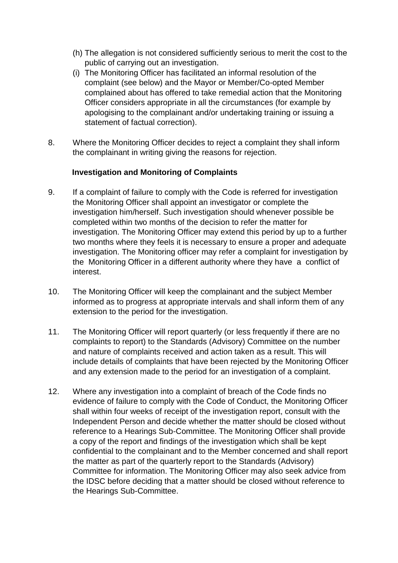- (h) The allegation is not considered sufficiently serious to merit the cost to the public of carrying out an investigation.
- (i) The Monitoring Officer has facilitated an informal resolution of the complaint (see below) and the Mayor or Member/Co-opted Member complained about has offered to take remedial action that the Monitoring Officer considers appropriate in all the circumstances (for example by apologising to the complainant and/or undertaking training or issuing a statement of factual correction).
- 8. Where the Monitoring Officer decides to reject a complaint they shall inform the complainant in writing giving the reasons for rejection.

## **Investigation and Monitoring of Complaints**

- 9. If a complaint of failure to comply with the Code is referred for investigation the Monitoring Officer shall appoint an investigator or complete the investigation him/herself. Such investigation should whenever possible be completed within two months of the decision to refer the matter for investigation. The Monitoring Officer may extend this period by up to a further two months where they feels it is necessary to ensure a proper and adequate investigation. The Monitoring officer may refer a complaint for investigation by the Monitoring Officer in a different authority where they have a conflict of interest.
- 10. The Monitoring Officer will keep the complainant and the subject Member informed as to progress at appropriate intervals and shall inform them of any extension to the period for the investigation.
- 11. The Monitoring Officer will report quarterly (or less frequently if there are no complaints to report) to the Standards (Advisory) Committee on the number and nature of complaints received and action taken as a result. This will include details of complaints that have been rejected by the Monitoring Officer and any extension made to the period for an investigation of a complaint.
- 12. Where any investigation into a complaint of breach of the Code finds no evidence of failure to comply with the Code of Conduct, the Monitoring Officer shall within four weeks of receipt of the investigation report, consult with the Independent Person and decide whether the matter should be closed without reference to a Hearings Sub-Committee. The Monitoring Officer shall provide a copy of the report and findings of the investigation which shall be kept confidential to the complainant and to the Member concerned and shall report the matter as part of the quarterly report to the Standards (Advisory) Committee for information. The Monitoring Officer may also seek advice from the IDSC before deciding that a matter should be closed without reference to the Hearings Sub-Committee.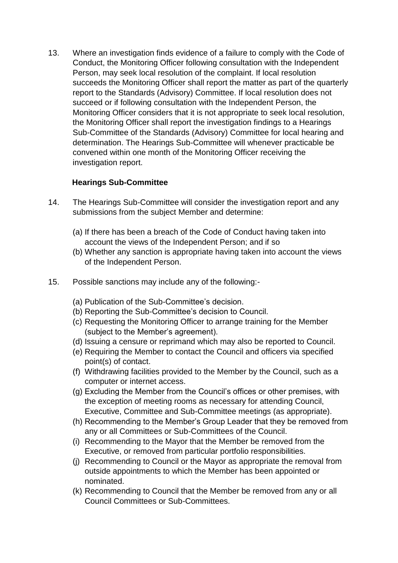13. Where an investigation finds evidence of a failure to comply with the Code of Conduct, the Monitoring Officer following consultation with the Independent Person, may seek local resolution of the complaint. If local resolution succeeds the Monitoring Officer shall report the matter as part of the quarterly report to the Standards (Advisory) Committee. If local resolution does not succeed or if following consultation with the Independent Person, the Monitoring Officer considers that it is not appropriate to seek local resolution, the Monitoring Officer shall report the investigation findings to a Hearings Sub-Committee of the Standards (Advisory) Committee for local hearing and determination. The Hearings Sub-Committee will whenever practicable be convened within one month of the Monitoring Officer receiving the investigation report.

## **Hearings Sub-Committee**

- 14. The Hearings Sub-Committee will consider the investigation report and any submissions from the subject Member and determine:
	- (a) If there has been a breach of the Code of Conduct having taken into account the views of the Independent Person; and if so
	- (b) Whether any sanction is appropriate having taken into account the views of the Independent Person.
- 15. Possible sanctions may include any of the following:-
	- (a) Publication of the Sub-Committee's decision.
	- (b) Reporting the Sub-Committee's decision to Council.
	- (c) Requesting the Monitoring Officer to arrange training for the Member (subject to the Member's agreement).
	- (d) Issuing a censure or reprimand which may also be reported to Council.
	- (e) Requiring the Member to contact the Council and officers via specified point(s) of contact.
	- (f) Withdrawing facilities provided to the Member by the Council, such as a computer or internet access.
	- (g) Excluding the Member from the Council's offices or other premises, with the exception of meeting rooms as necessary for attending Council, Executive, Committee and Sub-Committee meetings (as appropriate).
	- (h) Recommending to the Member's Group Leader that they be removed from any or all Committees or Sub-Committees of the Council.
	- (i) Recommending to the Mayor that the Member be removed from the Executive, or removed from particular portfolio responsibilities.
	- (j) Recommending to Council or the Mayor as appropriate the removal from outside appointments to which the Member has been appointed or nominated.
	- (k) Recommending to Council that the Member be removed from any or all Council Committees or Sub-Committees.